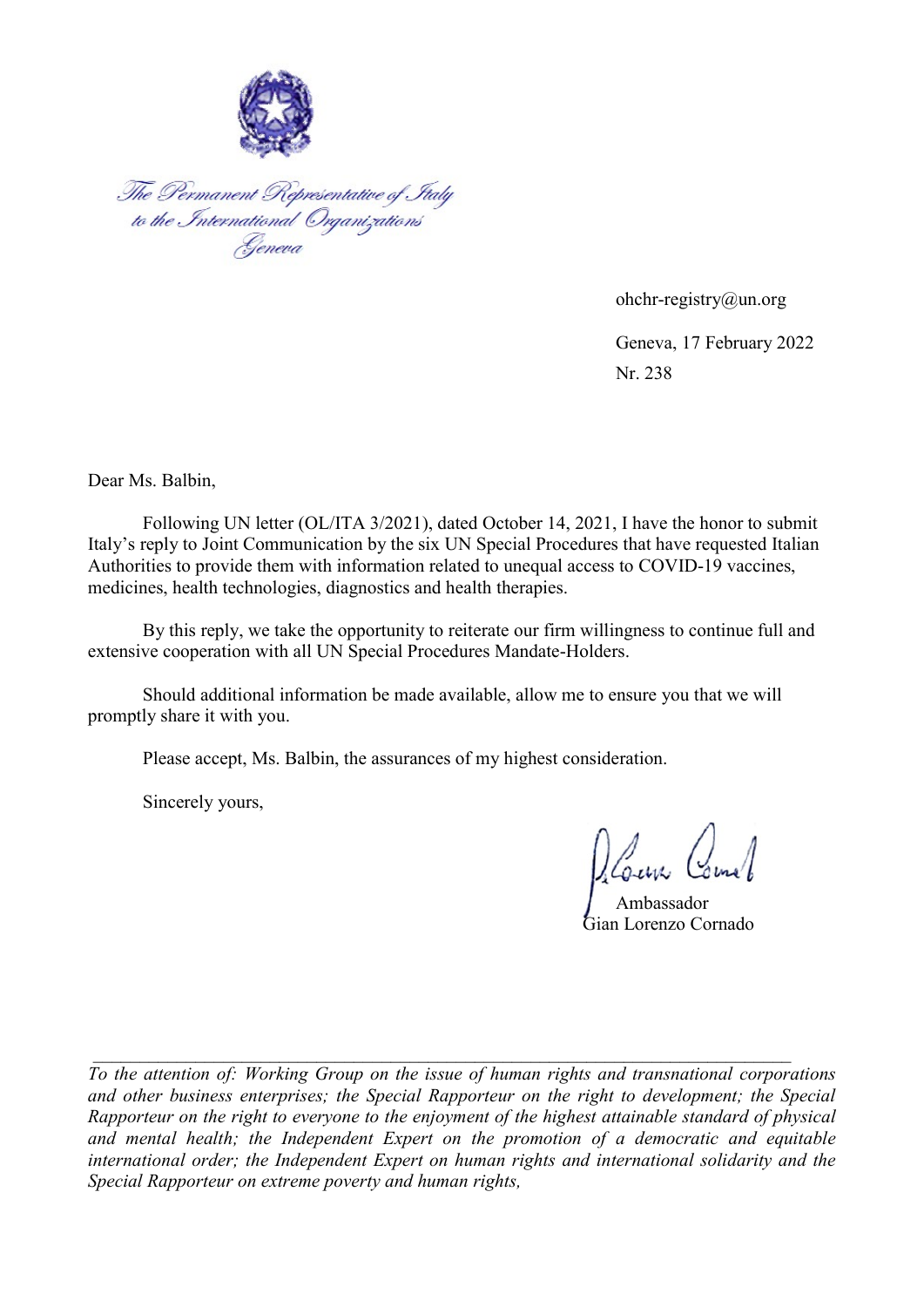

The Permanent Representative of Italy<br>to the International Organizations<br>Geneva

 ohchr-registry@un.org Geneva, 17 February 2022 Nr. 238

Dear Ms. Balbin,

Following UN letter (OL/ITA 3/2021), dated October 14, 2021, I have the honor to submit Italy's reply to Joint Communication by the six UN Special Procedures that have requested Italian Authorities to provide them with information related to unequal access to COVID-19 vaccines, medicines, health technologies, diagnostics and health therapies.

By this reply, we take the opportunity to reiterate our firm willingness to continue full and extensive cooperation with all UN Special Procedures Mandate-Holders.

Should additional information be made available, allow me to ensure you that we will promptly share it with you.

Please accept, Ms. Balbin, the assurances of my highest consideration.

Sincerely yours,

Ambassador

Gian Lorenzo Cornado

To the attention of: Working Group on the issue of human rights and transnational corporations and other business enterprises; the Special Rapporteur on the right to development; the Special Rapporteur on the right to everyone to the enjoyment of the highest attainable standard of physical and mental health; the Independent Expert on the promotion of a democratic and equitable international order; the Independent Expert on human rights and international solidarity and the Special Rapporteur on extreme poverty and human rights,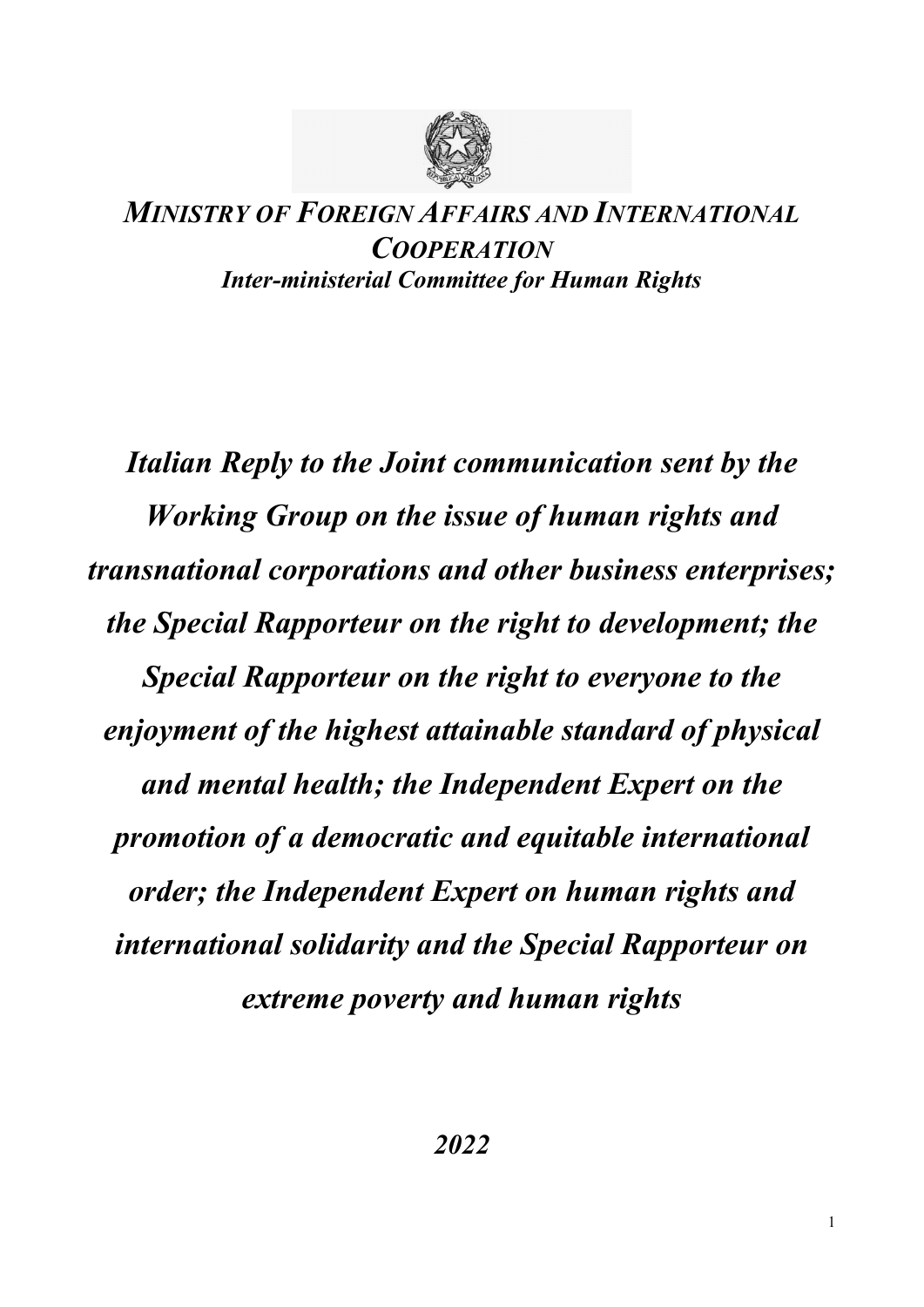

## MINISTRY OF FOREIGN AFFAIRS AND INTERNATIONAL **COOPERATION** Inter-ministerial Committee for Human Rights

Italian Reply to the Joint communication sent by the Working Group on the issue of human rights and transnational corporations and other business enterprises; the Special Rapporteur on the right to development; the Special Rapporteur on the right to everyone to the enjoyment of the highest attainable standard of physical and mental health; the Independent Expert on the promotion of a democratic and equitable international order; the Independent Expert on human rights and international solidarity and the Special Rapporteur on extreme poverty and human rights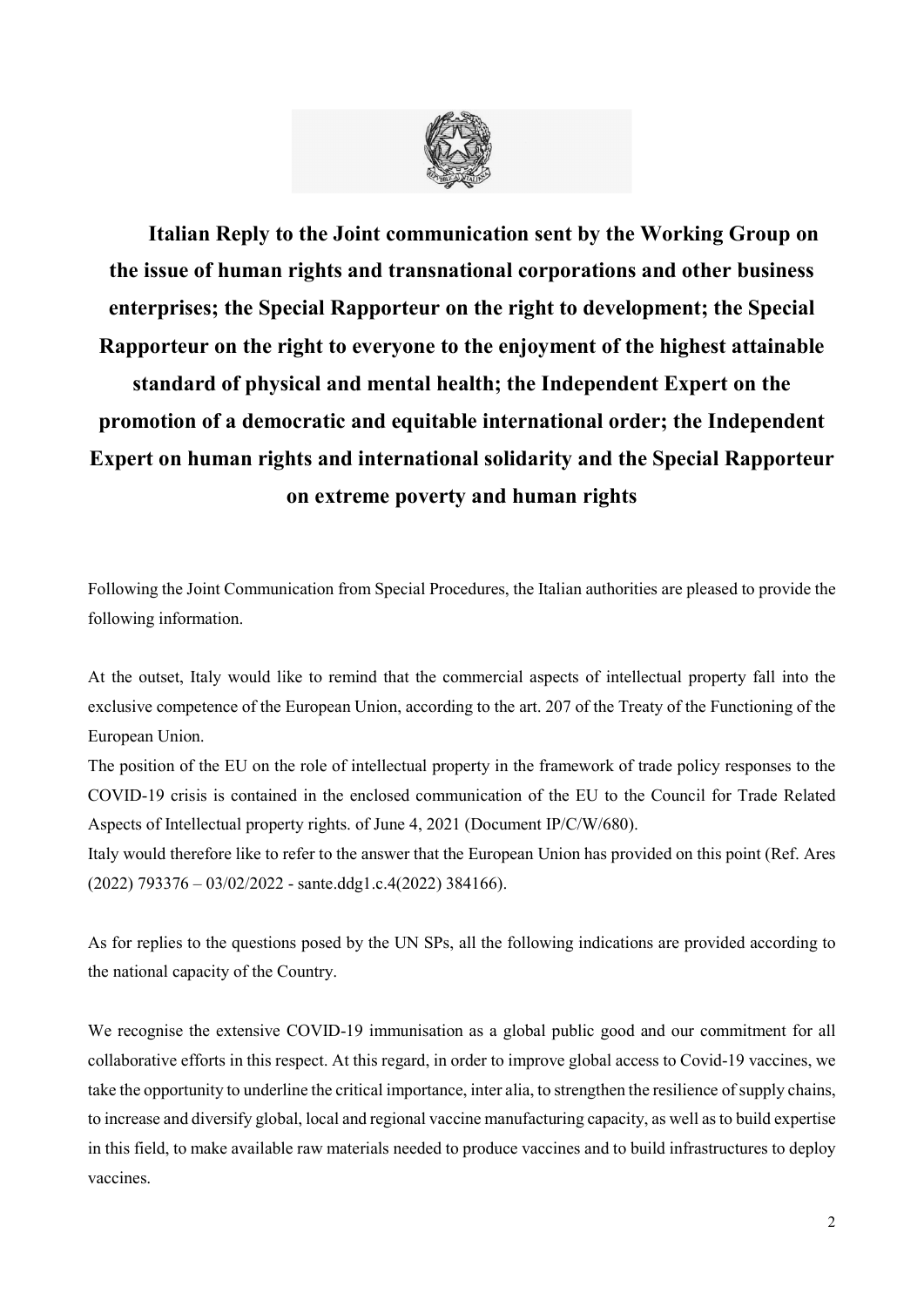

Italian Reply to the Joint communication sent by the Working Group on the issue of human rights and transnational corporations and other business enterprises; the Special Rapporteur on the right to development; the Special Rapporteur on the right to everyone to the enjoyment of the highest attainable standard of physical and mental health; the Independent Expert on the promotion of a democratic and equitable international order; the Independent Expert on human rights and international solidarity and the Special Rapporteur on extreme poverty and human rights

Following the Joint Communication from Special Procedures, the Italian authorities are pleased to provide the following information.

At the outset, Italy would like to remind that the commercial aspects of intellectual property fall into the exclusive competence of the European Union, according to the art. 207 of the Treaty of the Functioning of the European Union.

The position of the EU on the role of intellectual property in the framework of trade policy responses to the COVID-19 crisis is contained in the enclosed communication of the EU to the Council for Trade Related Aspects of Intellectual property rights. of June 4, 2021 (Document IP/C/W/680).

Italy would therefore like to refer to the answer that the European Union has provided on this point (Ref. Ares (2022) 793376 – 03/02/2022 - sante.ddg1.c.4(2022) 384166).

As for replies to the questions posed by the UN SPs, all the following indications are provided according to the national capacity of the Country.

We recognise the extensive COVID-19 immunisation as a global public good and our commitment for all collaborative efforts in this respect. At this regard, in order to improve global access to Covid-19 vaccines, we take the opportunity to underline the critical importance, inter alia, to strengthen the resilience of supply chains, to increase and diversify global, local and regional vaccine manufacturing capacity, as well as to build expertise in this field, to make available raw materials needed to produce vaccines and to build infrastructures to deploy vaccines.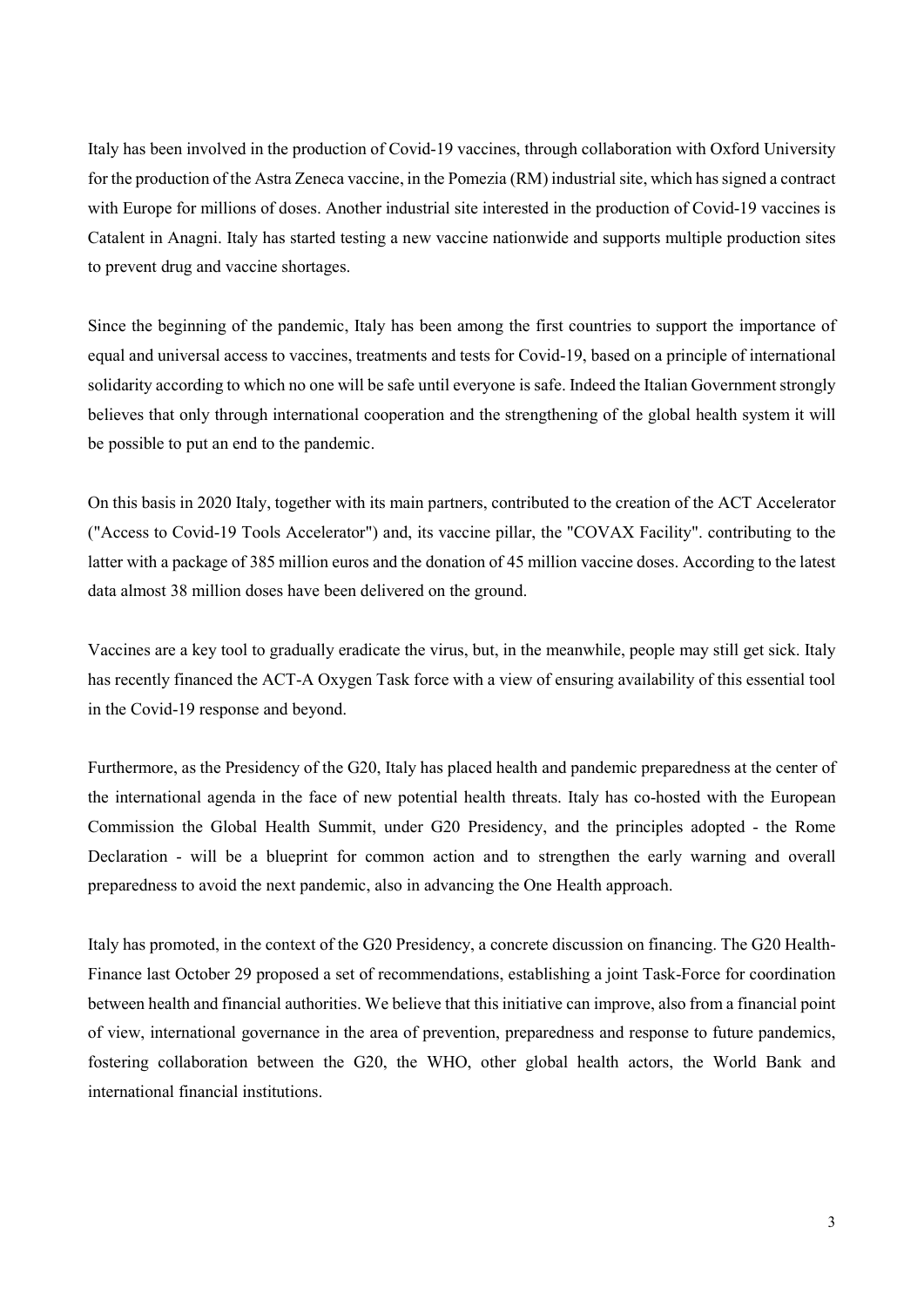Italy has been involved in the production of Covid-19 vaccines, through collaboration with Oxford University for the production of the Astra Zeneca vaccine, in the Pomezia (RM) industrial site, which has signed a contract with Europe for millions of doses. Another industrial site interested in the production of Covid-19 vaccines is Catalent in Anagni. Italy has started testing a new vaccine nationwide and supports multiple production sites to prevent drug and vaccine shortages.

Since the beginning of the pandemic, Italy has been among the first countries to support the importance of equal and universal access to vaccines, treatments and tests for Covid-19, based on a principle of international solidarity according to which no one will be safe until everyone is safe. Indeed the Italian Government strongly believes that only through international cooperation and the strengthening of the global health system it will be possible to put an end to the pandemic.

On this basis in 2020 Italy, together with its main partners, contributed to the creation of the ACT Accelerator ("Access to Covid-19 Tools Accelerator") and, its vaccine pillar, the "COVAX Facility". contributing to the latter with a package of 385 million euros and the donation of 45 million vaccine doses. According to the latest data almost 38 million doses have been delivered on the ground.

Vaccines are a key tool to gradually eradicate the virus, but, in the meanwhile, people may still get sick. Italy has recently financed the ACT-A Oxygen Task force with a view of ensuring availability of this essential tool in the Covid-19 response and beyond.

Furthermore, as the Presidency of the G20, Italy has placed health and pandemic preparedness at the center of the international agenda in the face of new potential health threats. Italy has co-hosted with the European Commission the Global Health Summit, under G20 Presidency, and the principles adopted - the Rome Declaration - will be a blueprint for common action and to strengthen the early warning and overall preparedness to avoid the next pandemic, also in advancing the One Health approach.

Italy has promoted, in the context of the G20 Presidency, a concrete discussion on financing. The G20 Health-Finance last October 29 proposed a set of recommendations, establishing a joint Task-Force for coordination between health and financial authorities. We believe that this initiative can improve, also from a financial point of view, international governance in the area of prevention, preparedness and response to future pandemics, fostering collaboration between the G20, the WHO, other global health actors, the World Bank and international financial institutions.